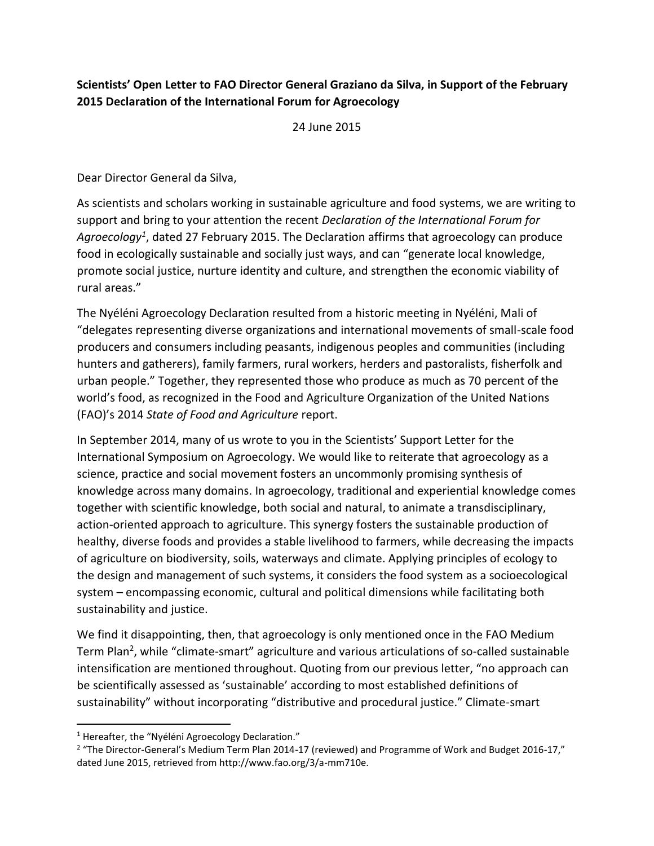## **Scientists' Open Letter to FAO Director General Graziano da Silva, in Support of the February 2015 Declaration of the International Forum for Agroecology**

24 June 2015

Dear Director General da Silva,

As scientists and scholars working in sustainable agriculture and food systems, we are writing to support and bring to your attention the recent *Declaration of the International Forum for Agroecology<sup>1</sup>* , dated 27 February 2015. The Declaration affirms that agroecology can produce food in ecologically sustainable and socially just ways, and can "generate local knowledge, promote social justice, nurture identity and culture, and strengthen the economic viability of rural areas."

The Nyéléni Agroecology Declaration resulted from a historic meeting in Nyéléni, Mali of "delegates representing diverse organizations and international movements of small-scale food producers and consumers including peasants, indigenous peoples and communities (including hunters and gatherers), family farmers, rural workers, herders and pastoralists, fisherfolk and urban people." Together, they represented those who produce as much as 70 percent of the world's food, as recognized in the Food and Agriculture Organization of the United Nations (FAO)'s 2014 *State of Food and Agriculture* report.

In September 2014, many of us wrote to you in the Scientists' Support Letter for the International Symposium on Agroecology. We would like to reiterate that agroecology as a science, practice and social movement fosters an uncommonly promising synthesis of knowledge across many domains. In agroecology, traditional and experiential knowledge comes together with scientific knowledge, both social and natural, to animate a transdisciplinary, action-oriented approach to agriculture. This synergy fosters the sustainable production of healthy, diverse foods and provides a stable livelihood to farmers, while decreasing the impacts of agriculture on biodiversity, soils, waterways and climate. Applying principles of ecology to the design and management of such systems, it considers the food system as a socioecological system – encompassing economic, cultural and political dimensions while facilitating both sustainability and justice.

We find it disappointing, then, that agroecology is only mentioned once in the FAO Medium Term Plan<sup>2</sup>, while "climate-smart" agriculture and various articulations of so-called sustainable intensification are mentioned throughout. Quoting from our previous letter, "no approach can be scientifically assessed as 'sustainable' according to most established definitions of sustainability" without incorporating "distributive and procedural justice." Climate-smart

 $\overline{\phantom{a}}$ 

<sup>&</sup>lt;sup>1</sup> Hereafter, the "Nyéléni Agroecology Declaration."

<sup>&</sup>lt;sup>2</sup> "The Director-General's Medium Term Plan 2014-17 (reviewed) and Programme of Work and Budget 2016-17," dated June 2015, retrieved from http://www.fao.org/3/a-mm710e.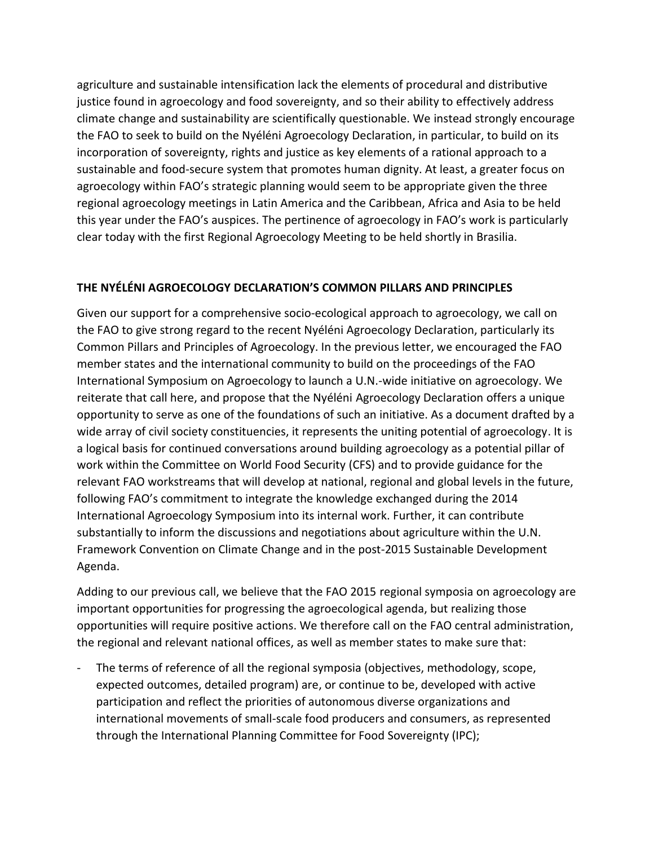agriculture and sustainable intensification lack the elements of procedural and distributive justice found in agroecology and food sovereignty, and so their ability to effectively address climate change and sustainability are scientifically questionable. We instead strongly encourage the FAO to seek to build on the Nyéléni Agroecology Declaration, in particular, to build on its incorporation of sovereignty, rights and justice as key elements of a rational approach to a sustainable and food-secure system that promotes human dignity. At least, a greater focus on agroecology within FAO's strategic planning would seem to be appropriate given the three regional agroecology meetings in Latin America and the Caribbean, Africa and Asia to be held this year under the FAO's auspices. The pertinence of agroecology in FAO's work is particularly clear today with the first Regional Agroecology Meeting to be held shortly in Brasilia.

## **THE NYÉLÉNI AGROECOLOGY DECLARATION'S COMMON PILLARS AND PRINCIPLES**

Given our support for a comprehensive socio-ecological approach to agroecology, we call on the FAO to give strong regard to the recent Nyéléni Agroecology Declaration, particularly its Common Pillars and Principles of Agroecology. In the previous letter, we encouraged the FAO member states and the international community to build on the proceedings of the FAO International Symposium on Agroecology to launch a U.N.-wide initiative on agroecology. We reiterate that call here, and propose that the Nyéléni Agroecology Declaration offers a unique opportunity to serve as one of the foundations of such an initiative. As a document drafted by a wide array of civil society constituencies, it represents the uniting potential of agroecology. It is a logical basis for continued conversations around building agroecology as a potential pillar of work within the Committee on World Food Security (CFS) and to provide guidance for the relevant FAO workstreams that will develop at national, regional and global levels in the future, following FAO's commitment to integrate the knowledge exchanged during the 2014 International Agroecology Symposium into its internal work. Further, it can contribute substantially to inform the discussions and negotiations about agriculture within the U.N. Framework Convention on Climate Change and in the post-2015 Sustainable Development Agenda.

Adding to our previous call, we believe that the FAO 2015 regional symposia on agroecology are important opportunities for progressing the agroecological agenda, but realizing those opportunities will require positive actions. We therefore call on the FAO central administration, the regional and relevant national offices, as well as member states to make sure that:

The terms of reference of all the regional symposia (objectives, methodology, scope, expected outcomes, detailed program) are, or continue to be, developed with active participation and reflect the priorities of autonomous diverse organizations and international movements of small-scale food producers and consumers, as represented through the International Planning Committee for Food Sovereignty (IPC);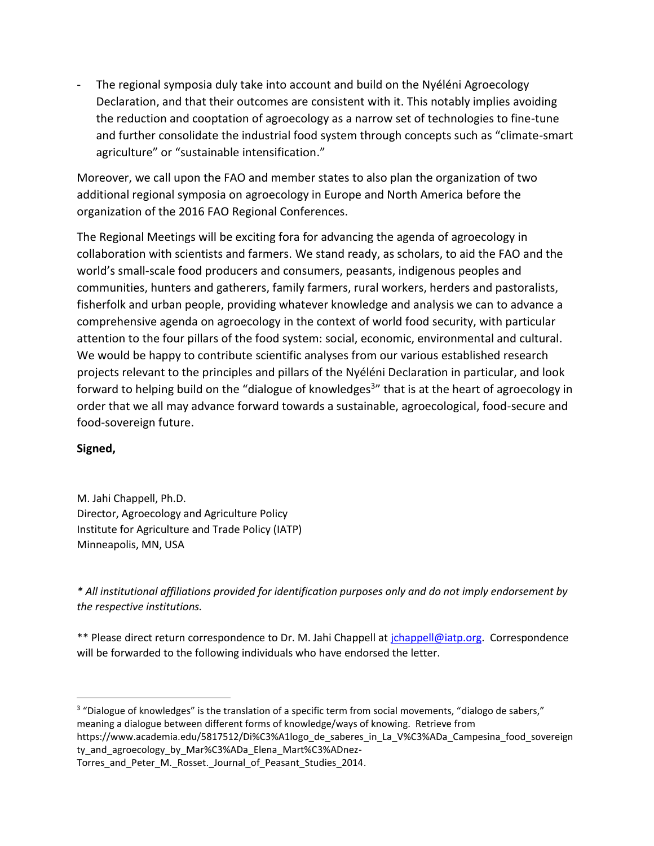The regional symposia duly take into account and build on the Nyéléni Agroecology Declaration, and that their outcomes are consistent with it. This notably implies avoiding the reduction and cooptation of agroecology as a narrow set of technologies to fine-tune and further consolidate the industrial food system through concepts such as "climate-smart agriculture" or "sustainable intensification."

Moreover, we call upon the FAO and member states to also plan the organization of two additional regional symposia on agroecology in Europe and North America before the organization of the 2016 FAO Regional Conferences.

The Regional Meetings will be exciting fora for advancing the agenda of agroecology in collaboration with scientists and farmers. We stand ready, as scholars, to aid the FAO and the world's small-scale food producers and consumers, peasants, indigenous peoples and communities, hunters and gatherers, family farmers, rural workers, herders and pastoralists, fisherfolk and urban people, providing whatever knowledge and analysis we can to advance a comprehensive agenda on agroecology in the context of world food security, with particular attention to the four pillars of the food system: social, economic, environmental and cultural. We would be happy to contribute scientific analyses from our various established research projects relevant to the principles and pillars of the Nyéléni Declaration in particular, and look forward to helping build on the "dialogue of knowledges<sup>3</sup>" that is at the heart of agroecology in order that we all may advance forward towards a sustainable, agroecological, food-secure and food-sovereign future.

## **Signed,**

M. Jahi Chappell, Ph.D. Director, Agroecology and Agriculture Policy Institute for Agriculture and Trade Policy (IATP) Minneapolis, MN, USA

*\* All institutional affiliations provided for identification purposes only and do not imply endorsement by the respective institutions.*

\*\* Please direct return correspondence to Dr. M. Jahi Chappell at [jchappell@iatp.org.](mailto:jchappell@iatp.org) Correspondence will be forwarded to the following individuals who have endorsed the letter.

ty and agroecology by Mar%C3%ADa Elena Mart%C3%ADnez-Torres and Peter M. Rosset. Journal of Peasant Studies 2014.

l <sup>3</sup> "Dialogue of knowledges" is the translation of a specific term from social movements, "dialogo de sabers," meaning a dialogue between different forms of knowledge/ways of knowing. Retrieve from https://www.academia.edu/5817512/Di%C3%A1logo\_de\_saberes\_in\_La\_V%C3%ADa\_Campesina\_food\_sovereign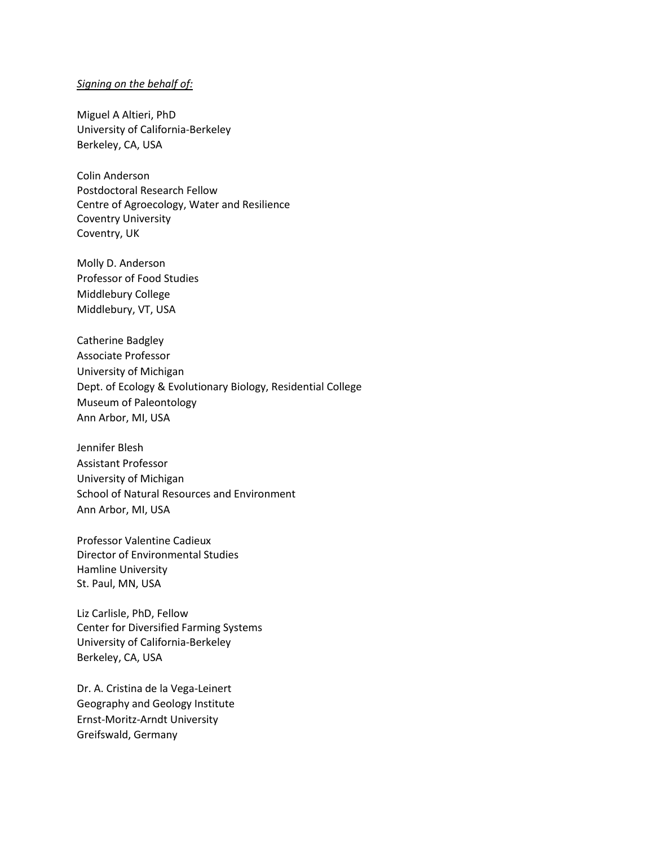## *Signing on the behalf of:*

Miguel A Altieri, PhD University of California-Berkeley Berkeley, CA, USA

Colin Anderson Postdoctoral Research Fellow Centre of Agroecology, Water and Resilience Coventry University Coventry, UK

Molly D. Anderson Professor of Food Studies Middlebury College Middlebury, VT, USA

Catherine Badgley Associate Professor University of Michigan Dept. of Ecology & Evolutionary Biology, Residential College Museum of Paleontology Ann Arbor, MI, USA

Jennifer Blesh Assistant Professor University of Michigan School of Natural Resources and Environment Ann Arbor, MI, USA

Professor Valentine Cadieux Director of Environmental Studies Hamline University St. Paul, MN, USA

Liz Carlisle, PhD, Fellow Center for Diversified Farming Systems University of California-Berkeley Berkeley, CA, USA

Dr. A. Cristina de la Vega-Leinert Geography and Geology Institute Ernst-Moritz-Arndt University Greifswald, Germany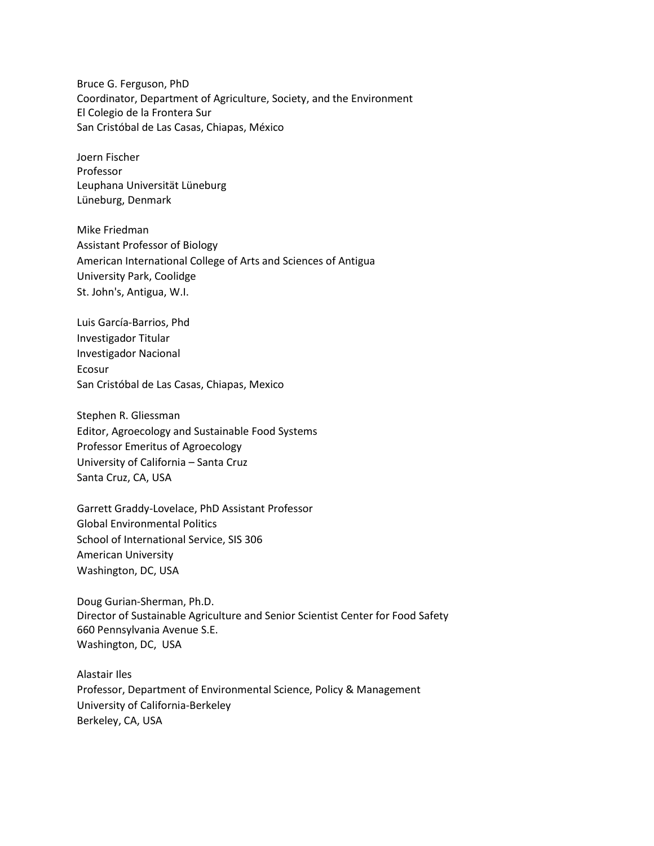Bruce G. Ferguson, PhD Coordinator, Department of Agriculture, Society, and the Environment El Colegio de la Frontera Sur San Cristóbal de Las Casas, Chiapas, México

Joern Fischer Professor Leuphana Universität Lüneburg Lüneburg, Denmark

Mike Friedman Assistant Professor of Biology American International College of Arts and Sciences of Antigua University Park, Coolidge St. John's, Antigua, W.I.

Luis García-Barrios, Phd Investigador Titular Investigador Nacional Ecosur San Cristóbal de Las Casas, Chiapas, Mexico

Stephen R. Gliessman Editor, Agroecology and Sustainable Food Systems Professor Emeritus of Agroecology University of California – Santa Cruz Santa Cruz, CA, USA

Garrett Graddy-Lovelace, PhD Assistant Professor Global Environmental Politics School of International Service, SIS 306 American University Washington, DC, USA

Doug Gurian-Sherman, Ph.D. Director of Sustainable Agriculture and Senior Scientist Center for Food Safety 660 Pennsylvania Avenue S.E. Washington, DC, USA

Alastair Iles Professor, Department of Environmental Science, Policy & Management University of California-Berkeley Berkeley, CA, USA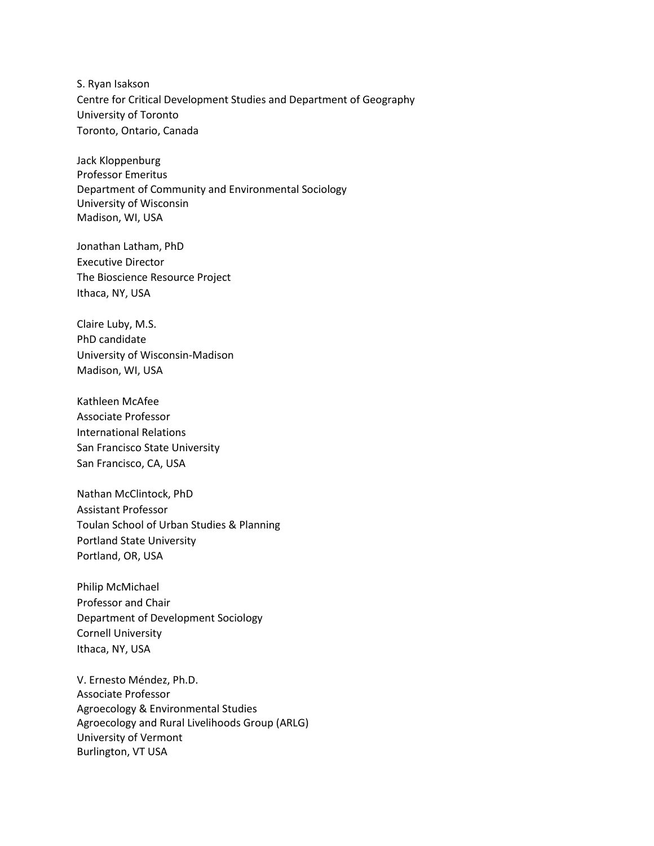S. Ryan Isakson Centre for Critical Development Studies and Department of Geography University of Toronto Toronto, Ontario, Canada

Jack Kloppenburg Professor Emeritus Department of Community and Environmental Sociology University of Wisconsin Madison, WI, USA

Jonathan Latham, PhD Executive Director The Bioscience Resource Project Ithaca, NY, USA

Claire Luby, M.S. PhD candidate University of Wisconsin-Madison Madison, WI, USA

Kathleen McAfee Associate Professor International Relations San Francisco State University San Francisco, CA, USA

Nathan McClintock, PhD Assistant Professor Toulan School of Urban Studies & Planning Portland State University Portland, OR, USA

Philip McMichael Professor and Chair Department of Development Sociology Cornell University Ithaca, NY, USA

V. Ernesto Méndez, Ph.D. Associate Professor Agroecology & Environmental Studies Agroecology and Rural Livelihoods Group (ARLG) University of Vermont Burlington, VT USA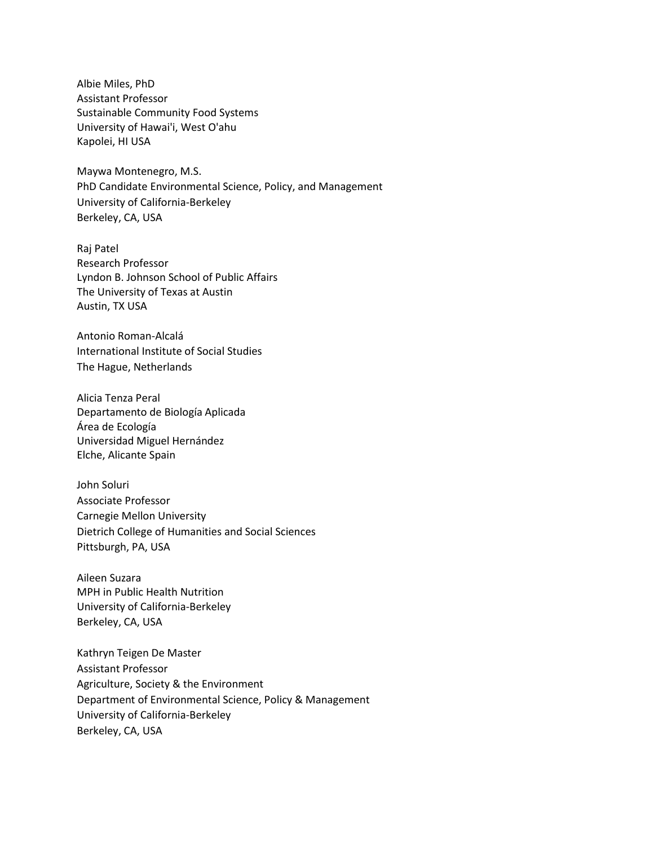Albie Miles, PhD Assistant Professor Sustainable Community Food Systems University of Hawai'i, West O'ahu Kapolei, HI USA

Maywa Montenegro, M.S. PhD Candidate Environmental Science, Policy, and Management University of California-Berkeley Berkeley, CA, USA

Raj Patel Research Professor Lyndon B. Johnson School of Public Affairs The University of Texas at Austin Austin, TX USA

Antonio Roman-Alcalá International Institute of Social Studies The Hague, Netherlands

Alicia Tenza Peral Departamento de Biología Aplicada Área de Ecología Universidad Miguel Hernández Elche, Alicante Spain

John Soluri Associate Professor Carnegie Mellon University Dietrich College of Humanities and Social Sciences Pittsburgh, PA, USA

Aileen Suzara MPH in Public Health Nutrition University of California-Berkeley Berkeley, CA, USA

Kathryn Teigen De Master Assistant Professor Agriculture, Society & the Environment Department of Environmental Science, Policy & Management University of California-Berkeley Berkeley, CA, USA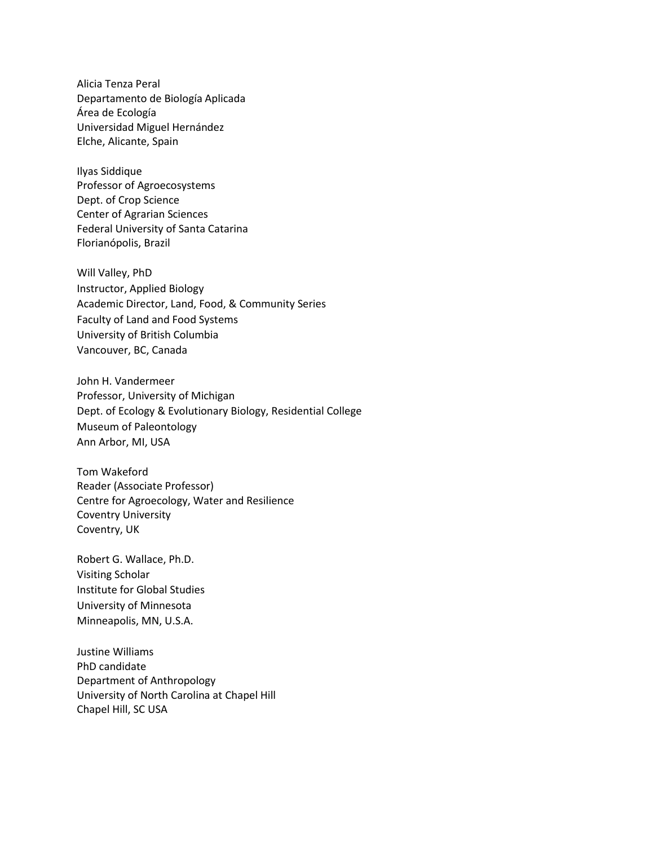Alicia Tenza Peral Departamento de Biología Aplicada Área de Ecología Universidad Miguel Hernández Elche, Alicante, Spain

Ilyas Siddique Professor of Agroecosystems Dept. of Crop Science Center of Agrarian Sciences Federal University of Santa Catarina Florianópolis, Brazil

Will Valley, PhD Instructor, Applied Biology Academic Director, Land, Food, & Community Series Faculty of Land and Food Systems University of British Columbia Vancouver, BC, Canada

John H. Vandermeer Professor, University of Michigan Dept. of Ecology & Evolutionary Biology, Residential College Museum of Paleontology Ann Arbor, MI, USA

Tom Wakeford Reader (Associate Professor) Centre for Agroecology, Water and Resilience Coventry University Coventry, UK

Robert G. Wallace, Ph.D. Visiting Scholar Institute for Global Studies University of Minnesota Minneapolis, MN, U.S.A.

Justine Williams PhD candidate Department of Anthropology University of North Carolina at Chapel Hill Chapel Hill, SC USA